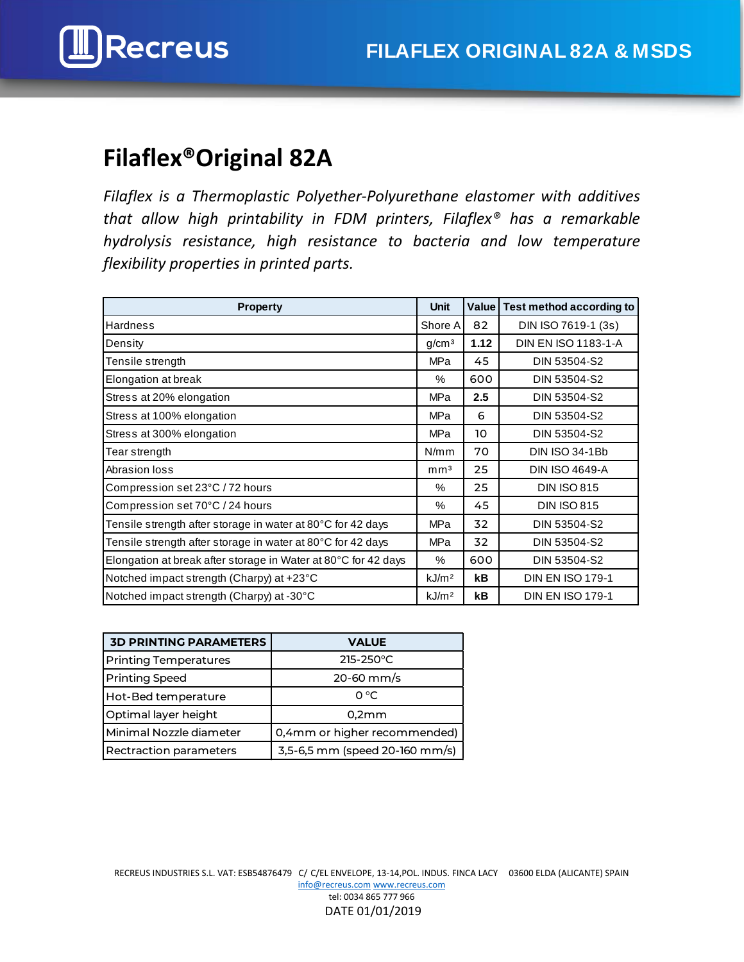

# **Filaflex®Original 82A**

*Filaflex is a Thermoplastic Polyether-Polyurethane elastomer with additives that allow high printability in FDM printers, Filaflex® has a remarkable hydrolysis resistance, high resistance to bacteria and low temperature flexibility properties in printed parts.* 

| <b>Property</b>                                                | <b>Unit</b>       |      | Value   Test method according to |
|----------------------------------------------------------------|-------------------|------|----------------------------------|
| <b>Hardness</b>                                                | Shore A           | 82   | DIN ISO 7619-1 (3s)              |
| Density                                                        | g/cm <sup>3</sup> | 1.12 | DIN EN ISO 1183-1-A              |
| Tensile strength                                               | MPa               | 45   | DIN 53504-S2                     |
| Elongation at break                                            | %                 | 600  | DIN 53504-S2                     |
| Stress at 20% elongation                                       | <b>MPa</b>        | 2.5  | DIN 53504-S2                     |
| Stress at 100% elongation                                      | <b>MPa</b>        | 6    | DIN 53504-S2                     |
| Stress at 300% elongation                                      | MPa               | 10   | DIN 53504-S2                     |
| Tear strength                                                  | N/mm              | 70   | <b>DIN ISO 34-1Bb</b>            |
| Abrasion loss                                                  | mm <sup>3</sup>   | 25   | <b>DIN ISO 4649-A</b>            |
| Compression set 23°C / 72 hours                                | %                 | 25   | <b>DIN ISO 815</b>               |
| Compression set 70°C / 24 hours                                | %                 | 45   | <b>DIN ISO 815</b>               |
| Tensile strength after storage in water at 80°C for 42 days    | <b>MPa</b>        | 32   | DIN 53504-S2                     |
| Tensile strength after storage in water at 80°C for 42 days    | <b>MPa</b>        | 32   | DIN 53504-S2                     |
| Elongation at break after storage in Water at 80°C for 42 days | %                 | 600  | DIN 53504-S2                     |
| Notched impact strength (Charpy) at +23°C                      | kJ/m <sup>2</sup> | kB   | <b>DIN EN ISO 179-1</b>          |
| Notched impact strength (Charpy) at -30°C                      | kJ/m <sup>2</sup> | kB   | <b>DIN EN ISO 179-1</b>          |

| <b>3D PRINTING PARAMETERS</b> | <b>VALUE</b>                   |
|-------------------------------|--------------------------------|
| <b>Printing Temperatures</b>  | $215 - 250^{\circ}$ C          |
| <b>Printing Speed</b>         | $20-60$ mm/s                   |
| Hot-Bed temperature           | $O^{\circ}C$                   |
| Optimal layer height          | 0,2mm                          |
| Minimal Nozzle diameter       | 0,4mm or higher recommended)   |
| <b>Rectraction parameters</b> | 3,5-6,5 mm (speed 20-160 mm/s) |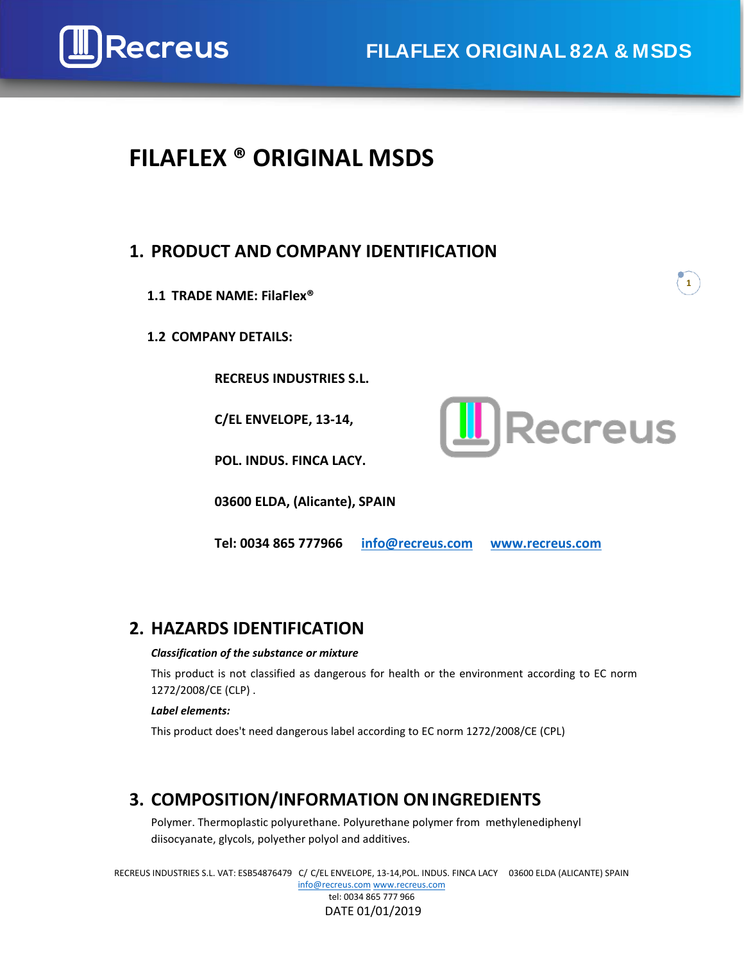

# **Recreus FILAFLEX ORIGINAL 82A & MSDS**

# **FILAFLEX ® ORIGINAL MSDS**

## **1. PRODUCT AND COMPANY IDENTIFICATION**

- **1.1 TRADE NAME: FilaFlex®**
- **1.2 COMPANY DETAILS:**

**RECREUS INDUSTRIES S.L.**

**C/EL ENVELOPE, 13-14,**



**1**

**POL. INDUS. FINCA LACY.**

**03600 ELDA, (Alicante), SPAIN**

**Tel: 0034 865 777966 [info@recreus.com](mailto:info@recreus.com) [www.recreus.com](http://www.recreus.com/)**

## **2. HAZARDS IDENTIFICATION**

#### *Classification of the substance or mixture*

This product is not classified as dangerous for health or the environment according to EC norm 1272/2008/CE (CLP) .

#### *Label elements:*

This product does't need dangerous label according to EC norm 1272/2008/CE (CPL)

## **3. COMPOSITION/INFORMATION ONINGREDIENTS**

Polymer. Thermoplastic polyurethane. Polyurethane polymer from methylenediphenyl diisocyanate, glycols, polyether polyol and additives.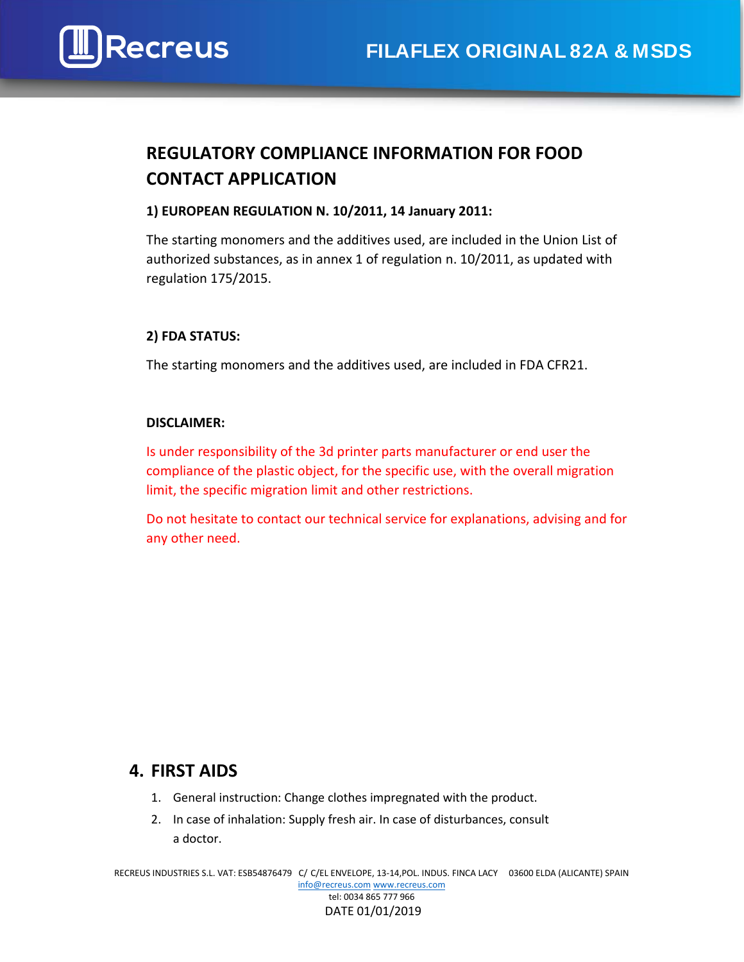

## **REGULATORY COMPLIANCE INFORMATION FOR FOOD CONTACT APPLICATION**

### **1) EUROPEAN REGULATION N. 10/2011, 14 January 2011:**

The starting monomers and the additives used, are included in the Union List of authorized substances, as in annex 1 of regulation n. 10/2011, as updated with regulation 175/2015.

#### **2) FDA STATUS:**

The starting monomers and the additives used, are included in FDA CFR21.

#### **DISCLAIMER:**

Is under responsibility of the 3d printer parts manufacturer or end user the compliance of the plastic object, for the specific use, with the overall migration limit, the specific migration limit and other restrictions.

Do not hesitate to contact our technical service for explanations, advising and for any other need.

## **4. FIRST AIDS**

- 1. General instruction: Change clothes impregnated with the product.
- 2. In case of inhalation: Supply fresh air. In case of disturbances, consult a doctor.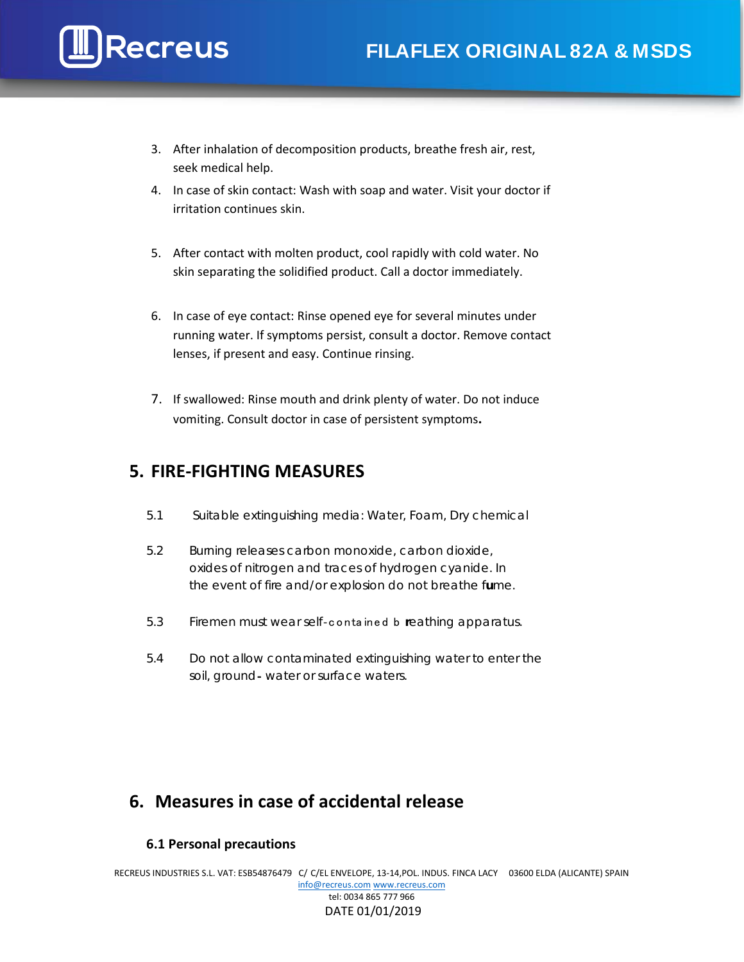- 3. After inhalation of decomposition products, breathe fresh air, rest, seek medical help.
- 4. In case of skin contact: Wash with soap and water. Visit your doctor if irritation continues skin.
- 5. After contact with molten product, cool rapidly with cold water. No skin separating the solidified product. Call a doctor immediately.
- 6. In case of eye contact: Rinse opened eye for several minutes under running water. If symptoms persist, consult a doctor. Remove contact lenses, if present and easy. Continue rinsing.
- 7. If swallowed: Rinse mouth and drink plenty of water. Do not induce vomiting. Consult doctor in case of persistent symptoms**.**

## **5. FIRE-FIGHTING MEASURES**

- 5.1 Suitable extinguishing media: Water, Foam, Dry chemical
- 5.2 Burning releases carbon monoxide, carbon dioxide, oxides of nitrogen and traces of hydrogen cyanide. In the event of fire and/or explosion do not breathe f**u**me.
- 5.3 Firemen must wear self‐conta ined b **r**eathing apparatus.
- 5.4 Do not allow contaminated extinguishing water to enter the soil, ground‐ water or surface waters.

## **6. Measures in case of accidental release**

### **6.1 Personal precautions**

RECREUS INDUSTRIES S.L. VAT: ESB54876479 C/ C/EL ENVELOPE, 13-14,POL. INDUS. FINCA LACY 03600 ELDA (ALICANTE) SPAIN [info@recreus.com](mailto:info@recreus.com) [www.recreus.com](http://www.recreus.com/) tel: 0034 865 777 966 DATE 01/01/2019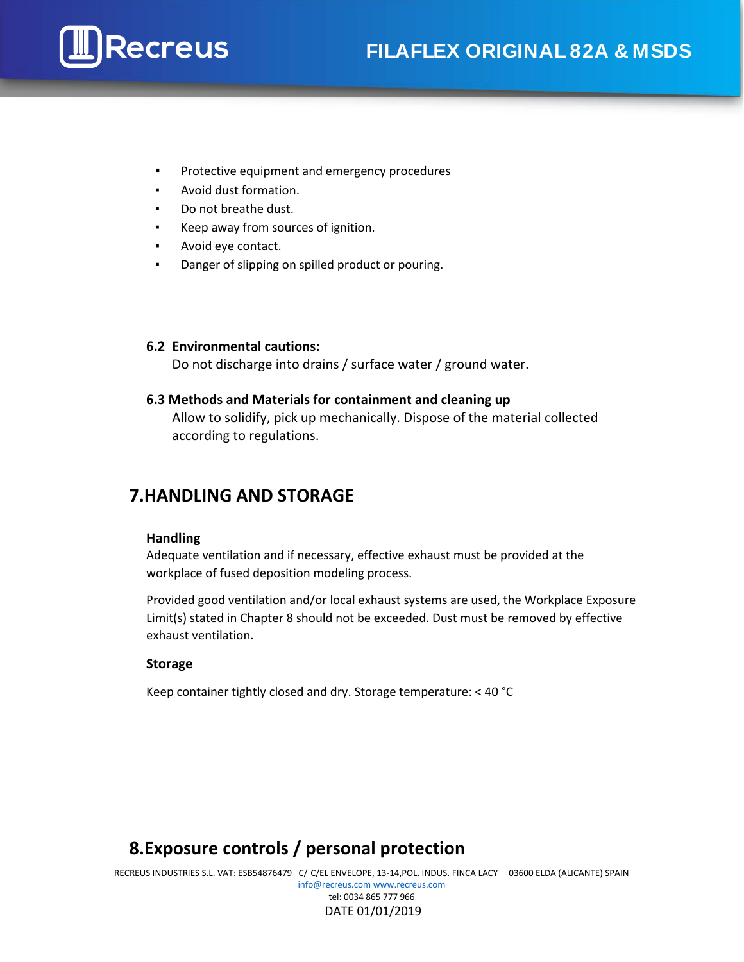- **▪** Protective equipment and emergency procedures
- Avoid dust formation.
- Do not breathe dust.
- Keep away from sources of ignition.
- Avoid eye contact.
- Danger of slipping on spilled product or pouring.

### **6.2 Environmental cautions:**

Do not discharge into drains / surface water / ground water.

### **6.3 Methods and Materials for containment and cleaning up**

Allow to solidify, pick up mechanically. Dispose of the material collected according to regulations.

## **7.HANDLING AND STORAGE**

#### **Handling**

Adequate ventilation and if necessary, effective exhaust must be provided at the workplace of fused deposition modeling process.

Provided good ventilation and/or local exhaust systems are used, the Workplace Exposure Limit(s) stated in Chapter 8 should not be exceeded. Dust must be removed by effective exhaust ventilation.

#### **Storage**

Keep container tightly closed and dry. Storage temperature: < 40 °C

## **8.Exposure controls / personal protection**

RECREUS INDUSTRIES S.L. VAT: ESB54876479 C/ C/EL ENVELOPE, 13-14,POL. INDUS. FINCA LACY 03600 ELDA (ALICANTE) SPAIN [info@recreus.com](mailto:info@recreus.com) [www.recreus.com](http://www.recreus.com/) tel: 0034 865 777 966

#### DATE 01/01/2019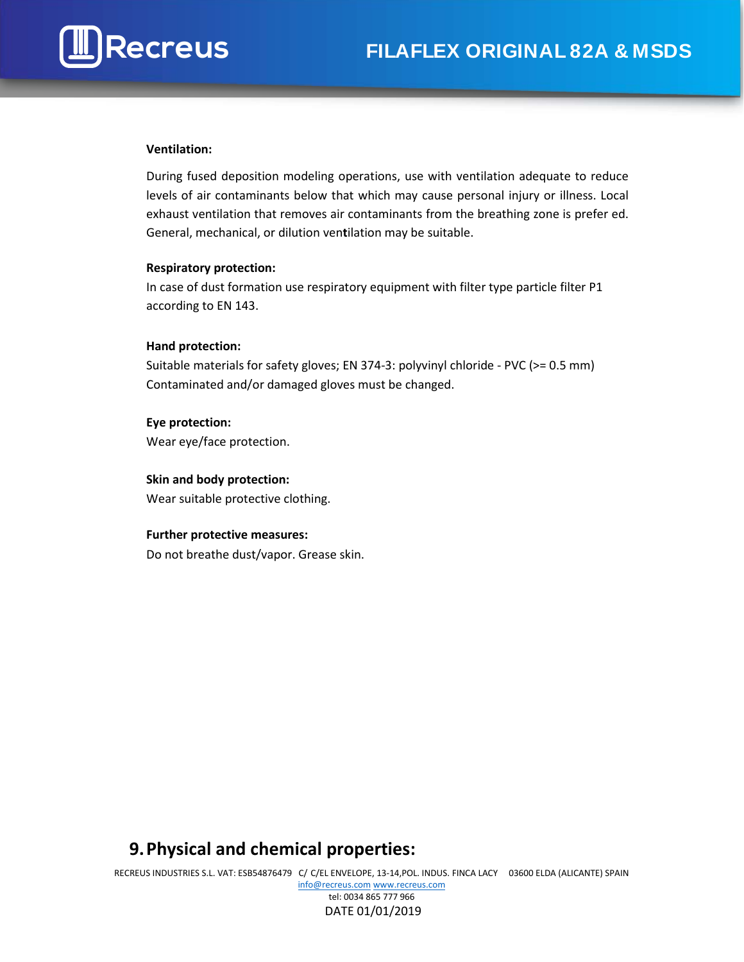#### **Ventilation:**

During fused deposition modeling operations, use with ventilation adequate to reduce levels of air contaminants below that which may cause personal injury or illness. Local exhaust ventilation that removes air contaminants from the breathing zone is prefer ed. General, mechanical, or dilution ven**t**ilation may be suitable.

#### **Respiratory protection:**

In case of dust formation use respiratory equipment with filter type particle filter P1 according to EN 143.

### **Hand protection:**

Suitable materials for safety gloves; EN 374-3: polyvinyl chloride - PVC (>= 0.5 mm) Contaminated and/or damaged gloves must be changed.

**Eye protection:** Wear eye/face protection.

### **Skin and body protection:**

Wear suitable protective clothing.

#### **Further protective measures:**

Do not breathe dust/vapor. Grease skin.

## **9.Physical and chemical properties:**

RECREUS INDUSTRIES S.L. VAT: ESB54876479 C/ C/EL ENVELOPE, 13-14,POL. INDUS. FINCA LACY 03600 ELDA (ALICANTE) SPAIN [info@recreus.com](mailto:info@recreus.com) [www.recreus.com](http://www.recreus.com/) tel: 0034 865 777 966

#### DATE 01/01/2019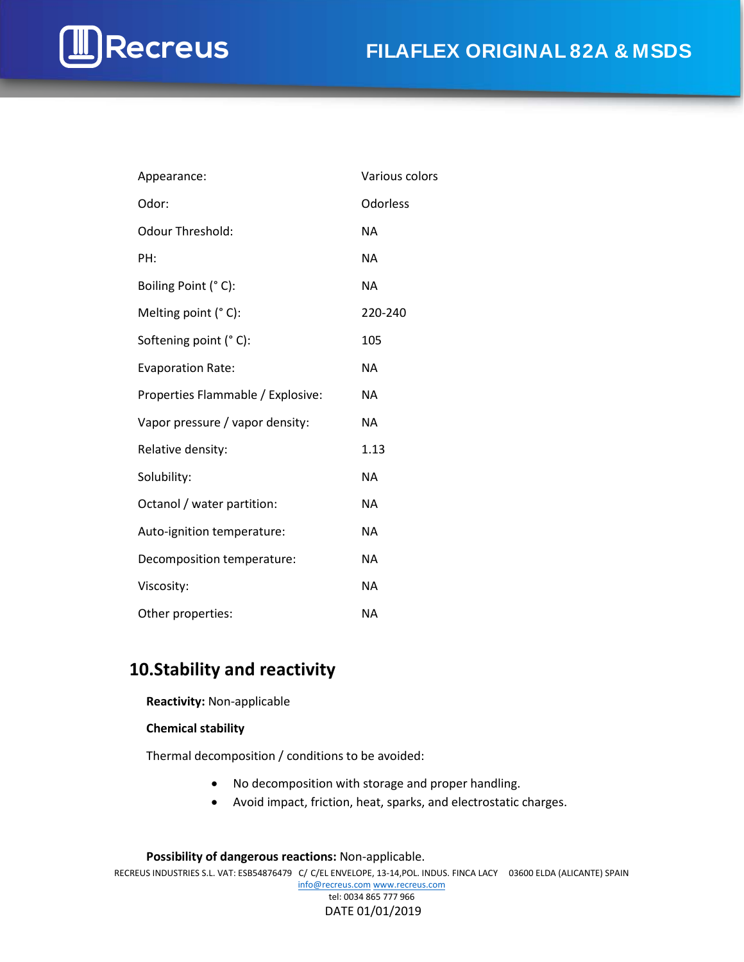# **Recreus FILAFLEX ORIGINAL 82A & MSDS**

| Appearance:                       | Various colors |
|-----------------------------------|----------------|
| Odor:                             | Odorless       |
| <b>Odour Threshold:</b>           | <b>NA</b>      |
| PH:                               | <b>NA</b>      |
| Boiling Point (°C):               | <b>NA</b>      |
| Melting point (°C):               | 220-240        |
| Softening point (°C):             | 105            |
| <b>Evaporation Rate:</b>          | <b>NA</b>      |
| Properties Flammable / Explosive: | NA             |
| Vapor pressure / vapor density:   | NA             |
| Relative density:                 | 1.13           |
| Solubility:                       | <b>NA</b>      |
| Octanol / water partition:        | NA             |
| Auto-ignition temperature:        | <b>NA</b>      |
| Decomposition temperature:        | <b>NA</b>      |
| Viscosity:                        | <b>NA</b>      |
| Other properties:                 | <b>NA</b>      |

## **10.Stability and reactivity**

**Reactivity:** Non-applicable

#### **Chemical stability**

Thermal decomposition / conditions to be avoided:

- No decomposition with storage and proper handling.
- Avoid impact, friction, heat, sparks, and electrostatic charges.

RECREUS INDUSTRIES S.L. VAT: ESB54876479 C/ C/EL ENVELOPE, 13-14,POL. INDUS. FINCA LACY 03600 ELDA (ALICANTE) SPAIN [info@recreus.com](mailto:info@recreus.com) [www.recreus.com](http://www.recreus.com/) tel: 0034 865 777 966 DATE 01/01/2019 **Possibility of dangerous reactions:** Non-applicable.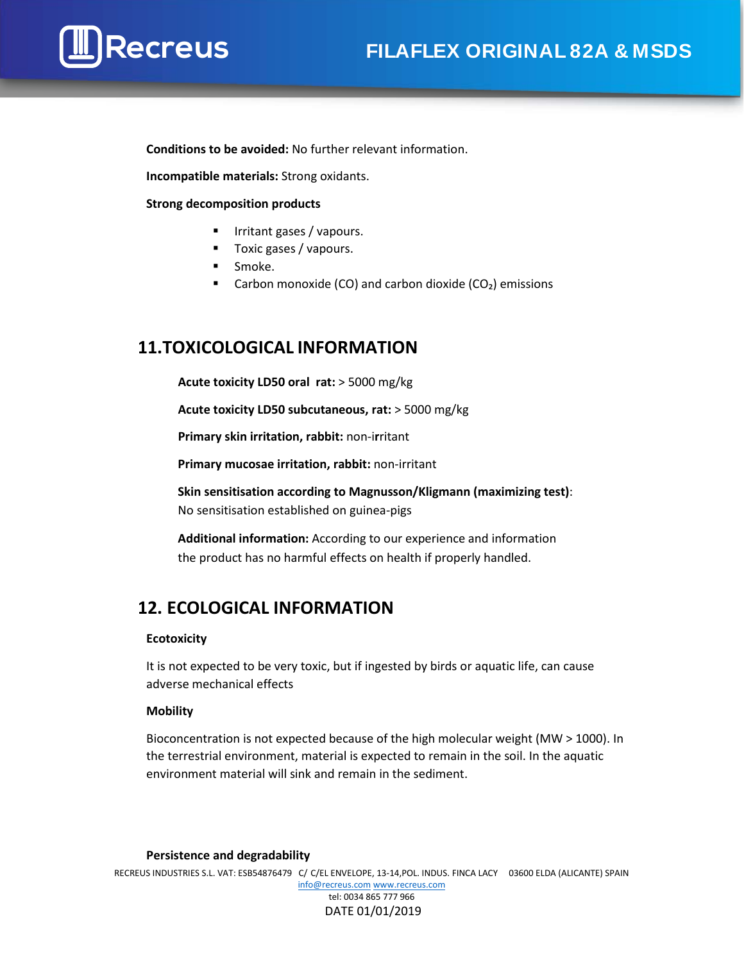**Conditions to be avoided:** No further relevant information.

**Incompatible materials:** Strong oxidants.

**Strong decomposition products**

- **IFRE** Irritant gases / vapours.
- Toxic gases / vapours.
- **Smoke.**
- Carbon monoxide (CO) and carbon dioxide ( $CO<sub>2</sub>$ ) emissions

## **11.TOXICOLOGICAL INFORMATION**

**Acute toxicity LD50 oral rat:** > 5000 mg/kg

**Acute toxicity LD50 subcutaneous, rat:** > 5000 mg/kg

**Primary skin irritation, rabbit:** non-i**r**ritant

**Primary mucosae irritation, rabbit:** non-irritant

**Skin sensitisation according to Magnusson/Kligmann (maximizing test)**: No sensitisation established on guinea-pigs

**Additional information:** According to our experience and information the product has no harmful effects on health if properly handled.

## **12. ECOLOGICAL INFORMATION**

#### **Ecotoxicity**

It is not expected to be very toxic, but if ingested by birds or aquatic life, can cause adverse mechanical effects

#### **Mobility**

Bioconcentration is not expected because of the high molecular weight (MW > 1000). In the terrestrial environment, material is expected to remain in the soil. In the aquatic environment material will sink and remain in the sediment.

#### **Persistence and degradability**

RECREUS INDUSTRIES S.L. VAT: ESB54876479 C/ C/EL ENVELOPE, 13-14,POL. INDUS. FINCA LACY 03600 ELDA (ALICANTE) SPAIN [info@recreus.com](mailto:info@recreus.com) [www.recreus.com](http://www.recreus.com/) tel: 0034 865 777 966 DATE 01/01/2019